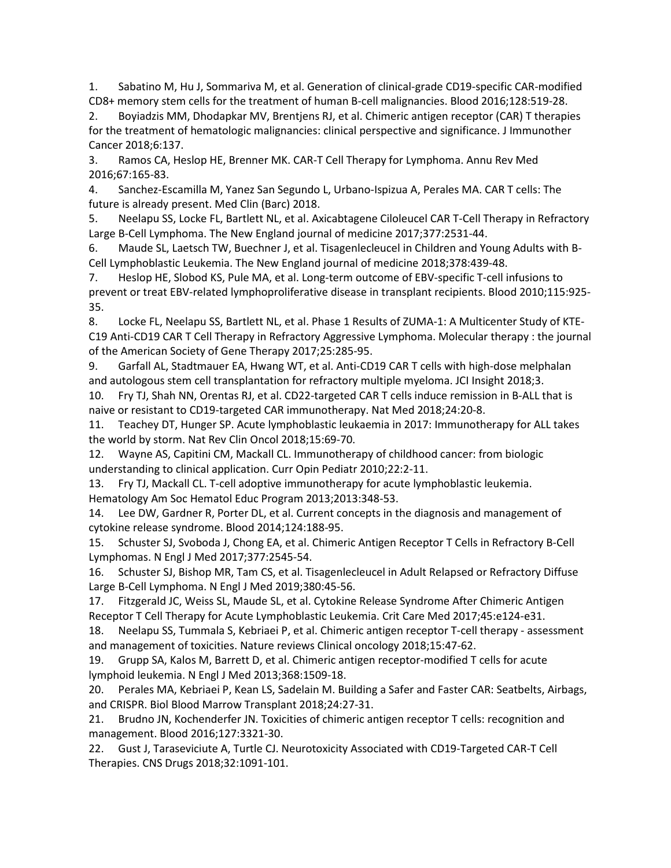1. Sabatino M, Hu J, Sommariva M, et al. Generation of clinical-grade CD19-specific CAR-modified CD8+ memory stem cells for the treatment of human B-cell malignancies. Blood 2016;128:519-28.

2. Boyiadzis MM, Dhodapkar MV, Brentjens RJ, et al. Chimeric antigen receptor (CAR) T therapies for the treatment of hematologic malignancies: clinical perspective and significance. J Immunother Cancer 2018;6:137.

3. Ramos CA, Heslop HE, Brenner MK. CAR-T Cell Therapy for Lymphoma. Annu Rev Med 2016;67:165-83.

4. Sanchez-Escamilla M, Yanez San Segundo L, Urbano-Ispizua A, Perales MA. CAR T cells: The future is already present. Med Clin (Barc) 2018.

5. Neelapu SS, Locke FL, Bartlett NL, et al. Axicabtagene Ciloleucel CAR T-Cell Therapy in Refractory Large B-Cell Lymphoma. The New England journal of medicine 2017;377:2531-44.

6. Maude SL, Laetsch TW, Buechner J, et al. Tisagenlecleucel in Children and Young Adults with B-Cell Lymphoblastic Leukemia. The New England journal of medicine 2018;378:439-48.

7. Heslop HE, Slobod KS, Pule MA, et al. Long-term outcome of EBV-specific T-cell infusions to prevent or treat EBV-related lymphoproliferative disease in transplant recipients. Blood 2010;115:925- 35.

8. Locke FL, Neelapu SS, Bartlett NL, et al. Phase 1 Results of ZUMA-1: A Multicenter Study of KTE-C19 Anti-CD19 CAR T Cell Therapy in Refractory Aggressive Lymphoma. Molecular therapy : the journal of the American Society of Gene Therapy 2017;25:285-95.

9. Garfall AL, Stadtmauer EA, Hwang WT, et al. Anti-CD19 CAR T cells with high-dose melphalan and autologous stem cell transplantation for refractory multiple myeloma. JCI Insight 2018;3.

10. Fry TJ, Shah NN, Orentas RJ, et al. CD22-targeted CAR T cells induce remission in B-ALL that is naive or resistant to CD19-targeted CAR immunotherapy. Nat Med 2018;24:20-8.

11. Teachey DT, Hunger SP. Acute lymphoblastic leukaemia in 2017: Immunotherapy for ALL takes the world by storm. Nat Rev Clin Oncol 2018;15:69-70.

12. Wayne AS, Capitini CM, Mackall CL. Immunotherapy of childhood cancer: from biologic understanding to clinical application. Curr Opin Pediatr 2010;22:2-11.

13. Fry TJ, Mackall CL. T-cell adoptive immunotherapy for acute lymphoblastic leukemia. Hematology Am Soc Hematol Educ Program 2013;2013:348-53.

14. Lee DW, Gardner R, Porter DL, et al. Current concepts in the diagnosis and management of cytokine release syndrome. Blood 2014;124:188-95.

15. Schuster SJ, Svoboda J, Chong EA, et al. Chimeric Antigen Receptor T Cells in Refractory B-Cell Lymphomas. N Engl J Med 2017;377:2545-54.

16. Schuster SJ, Bishop MR, Tam CS, et al. Tisagenlecleucel in Adult Relapsed or Refractory Diffuse Large B-Cell Lymphoma. N Engl J Med 2019;380:45-56.

17. Fitzgerald JC, Weiss SL, Maude SL, et al. Cytokine Release Syndrome After Chimeric Antigen Receptor T Cell Therapy for Acute Lymphoblastic Leukemia. Crit Care Med 2017;45:e124-e31.

18. Neelapu SS, Tummala S, Kebriaei P, et al. Chimeric antigen receptor T-cell therapy - assessment and management of toxicities. Nature reviews Clinical oncology 2018;15:47-62.

19. Grupp SA, Kalos M, Barrett D, et al. Chimeric antigen receptor-modified T cells for acute lymphoid leukemia. N Engl J Med 2013;368:1509-18.

20. Perales MA, Kebriaei P, Kean LS, Sadelain M. Building a Safer and Faster CAR: Seatbelts, Airbags, and CRISPR. Biol Blood Marrow Transplant 2018;24:27-31.

21. Brudno JN, Kochenderfer JN. Toxicities of chimeric antigen receptor T cells: recognition and management. Blood 2016;127:3321-30.

22. Gust J, Taraseviciute A, Turtle CJ. Neurotoxicity Associated with CD19-Targeted CAR-T Cell Therapies. CNS Drugs 2018;32:1091-101.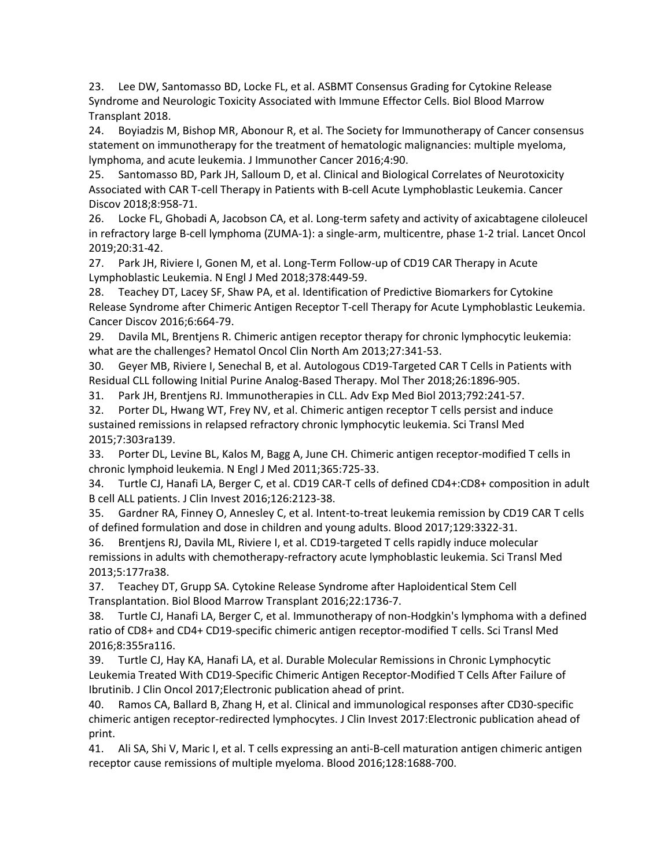23. Lee DW, Santomasso BD, Locke FL, et al. ASBMT Consensus Grading for Cytokine Release Syndrome and Neurologic Toxicity Associated with Immune Effector Cells. Biol Blood Marrow Transplant 2018.

24. Boyiadzis M, Bishop MR, Abonour R, et al. The Society for Immunotherapy of Cancer consensus statement on immunotherapy for the treatment of hematologic malignancies: multiple myeloma, lymphoma, and acute leukemia. J Immunother Cancer 2016;4:90.

25. Santomasso BD, Park JH, Salloum D, et al. Clinical and Biological Correlates of Neurotoxicity Associated with CAR T-cell Therapy in Patients with B-cell Acute Lymphoblastic Leukemia. Cancer Discov 2018;8:958-71.

26. Locke FL, Ghobadi A, Jacobson CA, et al. Long-term safety and activity of axicabtagene ciloleucel in refractory large B-cell lymphoma (ZUMA-1): a single-arm, multicentre, phase 1-2 trial. Lancet Oncol 2019;20:31-42.

27. Park JH, Riviere I, Gonen M, et al. Long-Term Follow-up of CD19 CAR Therapy in Acute Lymphoblastic Leukemia. N Engl J Med 2018;378:449-59.

28. Teachey DT, Lacey SF, Shaw PA, et al. Identification of Predictive Biomarkers for Cytokine Release Syndrome after Chimeric Antigen Receptor T-cell Therapy for Acute Lymphoblastic Leukemia. Cancer Discov 2016;6:664-79.

29. Davila ML, Brentjens R. Chimeric antigen receptor therapy for chronic lymphocytic leukemia: what are the challenges? Hematol Oncol Clin North Am 2013;27:341-53.

30. Geyer MB, Riviere I, Senechal B, et al. Autologous CD19-Targeted CAR T Cells in Patients with Residual CLL following Initial Purine Analog-Based Therapy. Mol Ther 2018;26:1896-905.

31. Park JH, Brentjens RJ. Immunotherapies in CLL. Adv Exp Med Biol 2013;792:241-57.

32. Porter DL, Hwang WT, Frey NV, et al. Chimeric antigen receptor T cells persist and induce sustained remissions in relapsed refractory chronic lymphocytic leukemia. Sci Transl Med 2015;7:303ra139.

33. Porter DL, Levine BL, Kalos M, Bagg A, June CH. Chimeric antigen receptor-modified T cells in chronic lymphoid leukemia. N Engl J Med 2011;365:725-33.

34. Turtle CJ, Hanafi LA, Berger C, et al. CD19 CAR-T cells of defined CD4+:CD8+ composition in adult B cell ALL patients. J Clin Invest 2016;126:2123-38.

35. Gardner RA, Finney O, Annesley C, et al. Intent-to-treat leukemia remission by CD19 CAR T cells of defined formulation and dose in children and young adults. Blood 2017;129:3322-31.

36. Brentjens RJ, Davila ML, Riviere I, et al. CD19-targeted T cells rapidly induce molecular remissions in adults with chemotherapy-refractory acute lymphoblastic leukemia. Sci Transl Med 2013;5:177ra38.

37. Teachey DT, Grupp SA. Cytokine Release Syndrome after Haploidentical Stem Cell Transplantation. Biol Blood Marrow Transplant 2016;22:1736-7.

38. Turtle CJ, Hanafi LA, Berger C, et al. Immunotherapy of non-Hodgkin's lymphoma with a defined ratio of CD8+ and CD4+ CD19-specific chimeric antigen receptor-modified T cells. Sci Transl Med 2016;8:355ra116.

39. Turtle CJ, Hay KA, Hanafi LA, et al. Durable Molecular Remissions in Chronic Lymphocytic Leukemia Treated With CD19-Specific Chimeric Antigen Receptor-Modified T Cells After Failure of Ibrutinib. J Clin Oncol 2017;Electronic publication ahead of print.

40. Ramos CA, Ballard B, Zhang H, et al. Clinical and immunological responses after CD30-specific chimeric antigen receptor-redirected lymphocytes. J Clin Invest 2017:Electronic publication ahead of print.

41. Ali SA, Shi V, Maric I, et al. T cells expressing an anti-B-cell maturation antigen chimeric antigen receptor cause remissions of multiple myeloma. Blood 2016;128:1688-700.